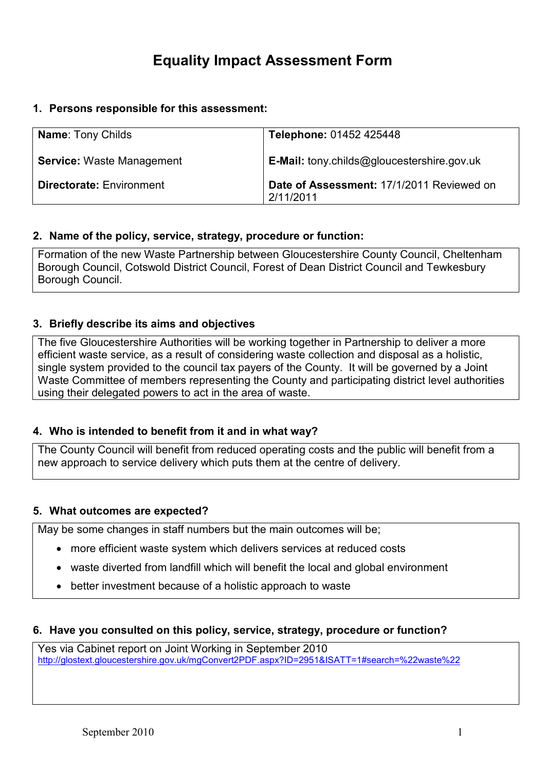# Equality Impact Assessment Form

## 1. Persons responsible for this assessment:

| <b>Name: Tony Childs</b>         | Telephone: 01452 425448                                |
|----------------------------------|--------------------------------------------------------|
| <b>Service: Waste Management</b> | <b>E-Mail:</b> tony.childs@gloucestershire.gov.uk      |
| <b>Directorate: Environment</b>  | Date of Assessment: 17/1/2011 Reviewed on<br>2/11/2011 |

## 2. Name of the policy, service, strategy, procedure or function:

Formation of the new Waste Partnership between Gloucestershire County Council, Cheltenham Borough Council, Cotswold District Council, Forest of Dean District Council and Tewkesbury Borough Council.

# 3. Briefly describe its aims and objectives

The five Gloucestershire Authorities will be working together in Partnership to deliver a more efficient waste service, as a result of considering waste collection and disposal as a holistic, single system provided to the council tax payers of the County. It will be governed by a Joint Waste Committee of members representing the County and participating district level authorities using their delegated powers to act in the area of waste.

# 4. Who is intended to benefit from it and in what way?

The County Council will benefit from reduced operating costs and the public will benefit from a new approach to service delivery which puts them at the centre of delivery.

#### 5. What outcomes are expected?

May be some changes in staff numbers but the main outcomes will be;

- more efficient waste system which delivers services at reduced costs
- waste diverted from landfill which will benefit the local and global environment
- better investment because of a holistic approach to waste

#### 6. Have you consulted on this policy, service, strategy, procedure or function?

Yes via Cabinet report on Joint Working in September 2010 http://glostext.gloucestershire.gov.uk/mgConvert2PDF.aspx?ID=2951&ISATT=1#search=%22waste%22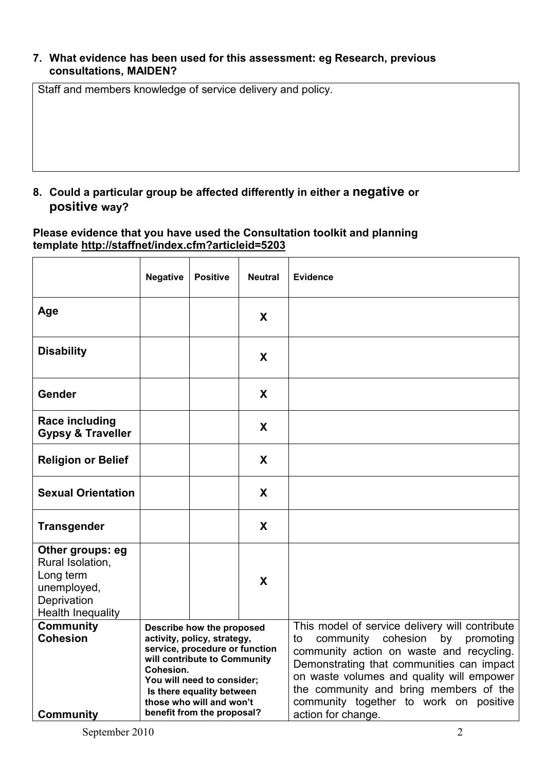## 7. What evidence has been used for this assessment: eg Research, previous consultations, MAIDEN?

Staff and members knowledge of service delivery and policy.

# 8. Could a particular group be affected differently in either a negative or positive way?

## Please evidence that you have used the Consultation toolkit and planning template http://staffnet/index.cfm?articleid=5203

|                                                                                                             | <b>Negative</b>                                                                                                                                                                                                                                              | <b>Positive</b> | <b>Neutral</b> | <b>Evidence</b>                                                                                                                                                                                                                                                                                                                                  |
|-------------------------------------------------------------------------------------------------------------|--------------------------------------------------------------------------------------------------------------------------------------------------------------------------------------------------------------------------------------------------------------|-----------------|----------------|--------------------------------------------------------------------------------------------------------------------------------------------------------------------------------------------------------------------------------------------------------------------------------------------------------------------------------------------------|
| Age                                                                                                         |                                                                                                                                                                                                                                                              |                 | X              |                                                                                                                                                                                                                                                                                                                                                  |
| <b>Disability</b>                                                                                           |                                                                                                                                                                                                                                                              |                 | X              |                                                                                                                                                                                                                                                                                                                                                  |
| Gender                                                                                                      |                                                                                                                                                                                                                                                              |                 | X              |                                                                                                                                                                                                                                                                                                                                                  |
| <b>Race including</b><br><b>Gypsy &amp; Traveller</b>                                                       |                                                                                                                                                                                                                                                              |                 | X              |                                                                                                                                                                                                                                                                                                                                                  |
| <b>Religion or Belief</b>                                                                                   |                                                                                                                                                                                                                                                              |                 | X              |                                                                                                                                                                                                                                                                                                                                                  |
| <b>Sexual Orientation</b>                                                                                   |                                                                                                                                                                                                                                                              |                 | X              |                                                                                                                                                                                                                                                                                                                                                  |
| <b>Transgender</b>                                                                                          |                                                                                                                                                                                                                                                              |                 | X              |                                                                                                                                                                                                                                                                                                                                                  |
| Other groups: eg<br>Rural Isolation,<br>Long term<br>unemployed,<br>Deprivation<br><b>Health Inequality</b> |                                                                                                                                                                                                                                                              |                 | X              |                                                                                                                                                                                                                                                                                                                                                  |
| <b>Community</b><br><b>Cohesion</b><br><b>Community</b>                                                     | Describe how the proposed<br>activity, policy, strategy,<br>service, procedure or function<br>will contribute to Community<br>Cohesion.<br>You will need to consider;<br>Is there equality between<br>those who will and won't<br>benefit from the proposal? |                 |                | This model of service delivery will contribute<br>cohesion<br>community<br>by<br>promoting<br>to<br>community action on waste and recycling.<br>Demonstrating that communities can impact<br>on waste volumes and quality will empower<br>the community and bring members of the<br>community together to work on positive<br>action for change. |